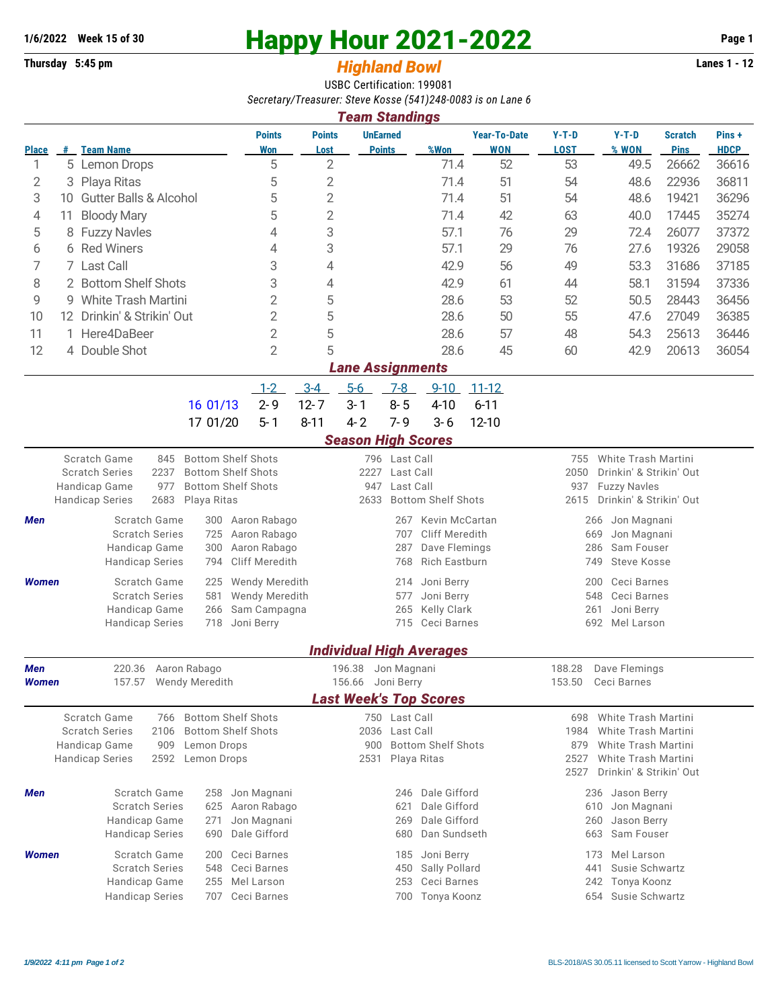## **1/6/2022** Week 15 of 30<br> **Happy Hour 2021-2022** Page 1<br> **Highland Rowl** Lanes 1 - 12

## **Thursday 5:45 pm** *Highland Bowl*

USBC Certification: 199081 *Secretary/Treasurer: Steve Kosse (541)248-0083 is on Lane 6*

| <b>Team Standings</b>                                                                                          |                                         |                                                                                   |                                       |                             |                                                     |                                          |                              |                                                           |                                                |                        |                                                |                               |                      |  |  |  |
|----------------------------------------------------------------------------------------------------------------|-----------------------------------------|-----------------------------------------------------------------------------------|---------------------------------------|-----------------------------|-----------------------------------------------------|------------------------------------------|------------------------------|-----------------------------------------------------------|------------------------------------------------|------------------------|------------------------------------------------|-------------------------------|----------------------|--|--|--|
| <b>Place</b>                                                                                                   |                                         | # Team Name                                                                       |                                       | <b>Points</b><br><b>Won</b> | <b>Points</b><br>Lost                               | <b>UnEarned</b><br><b>Points</b>         |                              | %Won                                                      | <b>Year-To-Date</b><br><b>WON</b>              | $Y-T-D$<br><b>LOST</b> | $Y-T-D$<br>% WON                               | <b>Scratch</b><br><b>Pins</b> | Pins+<br><b>HDCP</b> |  |  |  |
| 1                                                                                                              |                                         | 5 Lemon Drops                                                                     |                                       | 5                           | 2                                                   |                                          |                              | 71.4                                                      | 52                                             | 53                     | 49.5                                           | 26662                         | 36616                |  |  |  |
| 2                                                                                                              | 3                                       | Playa Ritas                                                                       |                                       | 5                           | 2                                                   |                                          |                              | 71.4                                                      | 51                                             | 54                     | 48.6                                           | 22936                         | 36811                |  |  |  |
| 3                                                                                                              | <b>Gutter Balls &amp; Alcohol</b><br>10 |                                                                                   |                                       |                             | 2                                                   |                                          |                              | 71.4                                                      | 51                                             | 54                     | 48.6                                           | 19421                         | 36296                |  |  |  |
| 4                                                                                                              | <b>Bloody Mary</b><br>11                |                                                                                   |                                       |                             | 2                                                   |                                          |                              | 71.4                                                      | 42                                             | 63                     | 40.0                                           | 17445                         | 35274                |  |  |  |
| 5                                                                                                              | 8                                       | <b>Fuzzy Navles</b>                                                               |                                       | 4                           | 3                                                   |                                          |                              | 57.1                                                      | 76                                             | 29                     | 72.4                                           | 26077                         | 37372                |  |  |  |
| 6                                                                                                              |                                         | 6 Red Winers                                                                      |                                       | 4                           | 3                                                   |                                          |                              | 57.1                                                      | 29                                             | 76                     | 27.6                                           | 19326                         | 29058                |  |  |  |
| 7                                                                                                              | 7                                       | Last Call                                                                         |                                       | 3                           | 4                                                   |                                          |                              | 42.9                                                      | 56                                             | 49                     | 53.3                                           | 31686                         | 37185                |  |  |  |
| 8                                                                                                              |                                         | 2 Bottom Shelf Shots                                                              | 3<br>$\overline{2}$                   | 4                           |                                                     |                                          | 42.9                         | 61                                                        | 44                                             | 58.1                   | 31594                                          | 37336                         |                      |  |  |  |
| 9                                                                                                              | <b>White Trash Martini</b><br>9         |                                                                                   |                                       |                             | 5                                                   |                                          |                              | 28.6                                                      | 53                                             | 52                     | 50.5                                           | 28443                         | 36456                |  |  |  |
| 10                                                                                                             |                                         | 12 Drinkin' & Strikin' Out                                                        |                                       | 2                           | 5                                                   |                                          |                              | 28.6                                                      | 50                                             | 55                     | 47.6                                           | 27049                         | 36385                |  |  |  |
| 11                                                                                                             |                                         | 1 Here4DaBeer                                                                     |                                       | 2                           | 5                                                   |                                          |                              | 28.6                                                      | 57                                             | 48                     | 54.3                                           | 25613                         | 36446                |  |  |  |
| 12                                                                                                             |                                         | 4 Double Shot                                                                     |                                       | $\overline{2}$              | 5                                                   |                                          |                              | 28.6                                                      | 45                                             | 60                     | 42.9                                           | 20613                         | 36054                |  |  |  |
| <b>Lane Assignments</b>                                                                                        |                                         |                                                                                   |                                       |                             |                                                     |                                          |                              |                                                           |                                                |                        |                                                |                               |                      |  |  |  |
|                                                                                                                |                                         |                                                                                   |                                       | $1-2$                       | $3-4$                                               | $5-6$                                    | $7-8$                        | $9 - 10$                                                  | $11 - 12$                                      |                        |                                                |                               |                      |  |  |  |
|                                                                                                                |                                         |                                                                                   | 16 01/13                              | $2 - 9$                     | $12 - 7$                                            | $3 - 1$                                  | $8 - 5$                      | $4 - 10$                                                  | $6 - 11$                                       |                        |                                                |                               |                      |  |  |  |
|                                                                                                                |                                         |                                                                                   | 17 01/20                              | $5 - 1$                     | $8 - 11$                                            | $4 - 2$                                  | $7 - 9$                      | $3 - 6$                                                   | $12 - 10$                                      |                        |                                                |                               |                      |  |  |  |
|                                                                                                                |                                         |                                                                                   |                                       |                             |                                                     | <b>Season High Scores</b>                |                              |                                                           |                                                |                        |                                                |                               |                      |  |  |  |
| Scratch Game<br><b>Bottom Shelf Shots</b><br>845<br>2237<br><b>Bottom Shelf Shots</b><br><b>Scratch Series</b> |                                         |                                                                                   |                                       |                             |                                                     | 2227                                     | 796 Last Call<br>Last Call   |                                                           |                                                | 755<br>2050            | White Trash Martini<br>Drinkin' & Strikin' Out |                               |                      |  |  |  |
|                                                                                                                |                                         | 977<br>Handicap Game                                                              | <b>Bottom Shelf Shots</b>             |                             | Last Call<br>947                                    |                                          |                              |                                                           | 937<br><b>Fuzzy Navles</b>                     |                        |                                                |                               |                      |  |  |  |
|                                                                                                                |                                         | <b>Handicap Series</b><br>2683<br>Playa Ritas                                     |                                       |                             | 2633                                                |                                          | <b>Bottom Shelf Shots</b>    |                                                           | Drinkin' & Strikin' Out<br>2615                |                        |                                                |                               |                      |  |  |  |
| Men                                                                                                            |                                         | Scratch Game                                                                      | Aaron Rabago                          |                             |                                                     | 267                                      | Kevin McCartan               |                                                           |                                                | Jon Magnani<br>266     |                                                |                               |                      |  |  |  |
|                                                                                                                |                                         | <b>Scratch Series</b>                                                             | 725<br>300                            | Aaron Rabago                |                                                     |                                          | Cliff Meredith<br>707        |                                                           |                                                |                        | 669<br>Jon Magnani                             |                               |                      |  |  |  |
|                                                                                                                |                                         | Handicap Game<br><b>Handicap Series</b>                                           | Aaron Rabago<br><b>Cliff Meredith</b> |                             | Dave Flemings<br>287<br><b>Rich Eastburn</b><br>768 |                                          |                              |                                                           | Sam Fouser<br>286<br><b>Steve Kosse</b><br>749 |                        |                                                |                               |                      |  |  |  |
| Women                                                                                                          |                                         | Scratch Game                                                                      | Wendy Meredith                        |                             |                                                     | 214                                      | Joni Berry                   |                                                           | Ceci Barnes<br>200                             |                        |                                                |                               |                      |  |  |  |
|                                                                                                                |                                         | <b>Scratch Series</b>                                                             | <b>Wendy Meredith</b>                 |                             | Joni Berry<br>577                                   |                                          |                              |                                                           | Ceci Barnes<br>548                             |                        |                                                |                               |                      |  |  |  |
|                                                                                                                |                                         | Handicap Game                                                                     | Sam Campagna                          |                             | Kelly Clark<br>265                                  |                                          |                              |                                                           | 261<br>Joni Berry                              |                        |                                                |                               |                      |  |  |  |
|                                                                                                                |                                         | <b>Handicap Series</b>                                                            | 718                                   | Joni Berry                  |                                                     | 715 Ceci Barnes                          |                              |                                                           |                                                | 692<br>Mel Larson      |                                                |                               |                      |  |  |  |
|                                                                                                                | <b>Individual High Averages</b>         |                                                                                   |                                       |                             |                                                     |                                          |                              |                                                           |                                                |                        |                                                |                               |                      |  |  |  |
| Men                                                                                                            |                                         | 220.36 Aaron Rabago                                                               |                                       |                             |                                                     | 196.38 Jon Magnani                       |                              |                                                           |                                                | 188.28                 | Dave Flemings                                  |                               |                      |  |  |  |
| Women                                                                                                          |                                         | Wendy Meredith<br>157.57                                                          |                                       |                             | 156.66 Joni Berry                                   |                                          |                              |                                                           | 153.50<br>Ceci Barnes                          |                        |                                                |                               |                      |  |  |  |
|                                                                                                                |                                         |                                                                                   |                                       |                             |                                                     |                                          |                              | <b>Last Week's Top Scores</b>                             |                                                |                        |                                                |                               |                      |  |  |  |
|                                                                                                                |                                         | Scratch Game<br>766                                                               | <b>Bottom Shelf Shots</b>             |                             |                                                     |                                          | 750 Last Call                |                                                           |                                                | 698                    | White Trash Martini                            |                               |                      |  |  |  |
|                                                                                                                |                                         | <b>Scratch Series</b><br>2106                                                     | <b>Bottom Shelf Shots</b>             | 900                         | 2036 Last Call                                      |                                          |                              | White Trash Martini<br>1984<br>White Trash Martini<br>879 |                                                |                        |                                                |                               |                      |  |  |  |
|                                                                                                                |                                         | Handicap Game<br>909<br>Lemon Drops<br><b>Handicap Series</b><br>2592 Lemon Drops | 2531                                  |                             |                                                     | <b>Bottom Shelf Shots</b><br>Playa Ritas |                              |                                                           | 2527<br>White Trash Martini                    |                        |                                                |                               |                      |  |  |  |
|                                                                                                                |                                         |                                                                                   |                                       |                             |                                                     |                                          |                              |                                                           |                                                | 2527                   | Drinkin' & Strikin' Out                        |                               |                      |  |  |  |
| Men                                                                                                            |                                         | Scratch Game                                                                      | 258                                   | Jon Magnani                 |                                                     |                                          | 246                          | Dale Gifford                                              |                                                |                        | Jason Berry<br>236                             |                               |                      |  |  |  |
|                                                                                                                |                                         | <b>Scratch Series</b>                                                             | Aaron Rabago                          |                             |                                                     | 621                                      | Dale Gifford                 |                                                           | Jon Magnani<br>610                             |                        |                                                |                               |                      |  |  |  |
|                                                                                                                |                                         | Handicap Game                                                                     | Jon Magnani                           |                             | 269                                                 | Dale Gifford                             |                              | Jason Berry<br>260                                        |                                                |                        |                                                |                               |                      |  |  |  |
|                                                                                                                |                                         | <b>Handicap Series</b>                                                            | 690                                   | Dale Gifford                |                                                     |                                          | 680                          | Dan Sundseth                                              |                                                |                        | Sam Fouser<br>663                              |                               |                      |  |  |  |
| Women                                                                                                          |                                         | Scratch Game                                                                      | 200<br>548                            | Ceci Barnes                 |                                                     |                                          | 185                          | Joni Berry                                                |                                                | Mel Larson<br>173      |                                                |                               |                      |  |  |  |
|                                                                                                                |                                         | <b>Scratch Series</b><br>Handicap Game                                            | Ceci Barnes<br>Mel Larson             |                             |                                                     | 450<br>253                               | Sally Pollard<br>Ceci Barnes |                                                           | 441<br>Susie Schwartz<br>Tonya Koonz<br>242    |                        |                                                |                               |                      |  |  |  |
|                                                                                                                |                                         | <b>Handicap Series</b>                                                            | 255<br>707                            | Ceci Barnes                 |                                                     |                                          | 700                          | Tonya Koonz                                               |                                                |                        | Susie Schwartz<br>654                          |                               |                      |  |  |  |
|                                                                                                                |                                         |                                                                                   |                                       |                             |                                                     |                                          |                              |                                                           |                                                |                        |                                                |                               |                      |  |  |  |